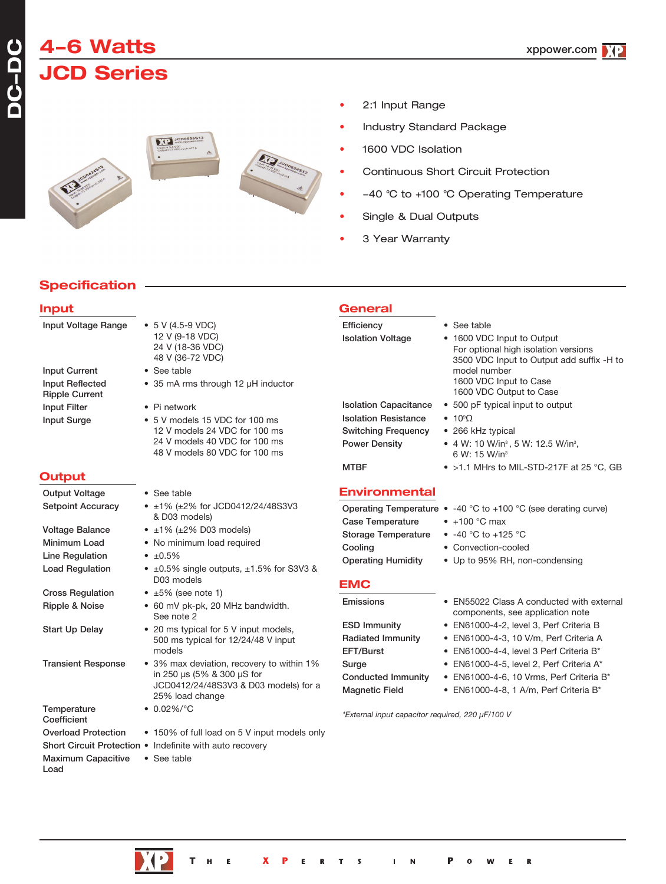# **4-6 Watts JCD Series**

## '4+





- 2:1 Input Range
- Industry Standard Package
- 1600 VDC Isolation
- Continuous Short Circuit Protection
- -40 °C to +100 °C Operating Temperature
- Single & Dual Outputs
- 3 Year Warranty

## **Specification**

| <b>Input</b>                                                                               |                                                                                                                                       | <b>General</b>                                                                         |                                                                                                                                        |
|--------------------------------------------------------------------------------------------|---------------------------------------------------------------------------------------------------------------------------------------|----------------------------------------------------------------------------------------|----------------------------------------------------------------------------------------------------------------------------------------|
| Input Voltage Range                                                                        | $\bullet$ 5 V (4.5-9 VDC)<br>12 V (9-18 VDC)<br>24 V (18-36 VDC)<br>48 V (36-72 VDC)                                                  | Efficiency<br><b>Isolation Voltage</b>                                                 | • See table<br>• 1600 VDC Input to Output<br>For optional high isolation versions<br>3500 VDC Input to Output add suffix -H to         |
| <b>Input Current</b><br><b>Input Reflected</b><br><b>Ripple Current</b>                    | • See table<br>• 35 mA rms through 12 µH inductor                                                                                     |                                                                                        | model number<br>1600 VDC Input to Case<br>1600 VDC Output to Case                                                                      |
| <b>Input Filter</b>                                                                        | • Pi network                                                                                                                          | <b>Isolation Capacitance</b>                                                           | • 500 pF typical input to output                                                                                                       |
| <b>Input Surge</b>                                                                         | • 5 V models 15 VDC for 100 ms<br>12 V models 24 VDC for 100 ms<br>24 V models 40 VDC for 100 ms<br>48 V models 80 VDC for 100 ms     | <b>Isolation Resistance</b><br><b>Switching Frequency</b><br><b>Power Density</b>      | $\bullet$ 10 $\Omega$<br>• 266 kHz typical<br>• 4 W: 10 W/in <sup>3</sup> , 5 W: 12.5 W/in <sup>3</sup> ,<br>6 W: 15 W/in <sup>3</sup> |
| Output                                                                                     |                                                                                                                                       | <b>MTBF</b>                                                                            | • >1.1 MHrs to MIL-STD-217F at 25 °C, GB                                                                                               |
| <b>Output Voltage</b>                                                                      | • See table                                                                                                                           | <b>Environmental</b>                                                                   |                                                                                                                                        |
| <b>Setpoint Accuracy</b>                                                                   | • $\pm 1\%$ ( $\pm 2\%$ for JCD0412/24/48S3V3<br>& D03 models)                                                                        |                                                                                        | Operating Temperature $\bullet$ -40 °C to +100 °C (see derating curve)<br>$\bullet$ +100 °C max                                        |
| <b>Voltage Balance</b><br>Minimum Load<br><b>Line Regulation</b><br><b>Load Regulation</b> | $\bullet$ ±1% (±2% D03 models)<br>• No minimum load required<br>$\cdot$ ±0.5%<br>• $\pm 0.5\%$ single outputs, $\pm 1.5\%$ for S3V3 & | Case Temperature<br><b>Storage Temperature</b><br>Cooling<br><b>Operating Humidity</b> | • $-40$ °C to $+125$ °C<br>• Convection-cooled<br>• Up to 95% RH, non-condensing                                                       |
|                                                                                            | D03 models                                                                                                                            | <b>EMC</b>                                                                             |                                                                                                                                        |
| <b>Cross Regulation</b><br>Ripple & Noise                                                  | $\bullet$ ±5% (see note 1)<br>• 60 mV pk-pk, 20 MHz bandwidth.<br>See note 2                                                          | Emissions                                                                              | • EN55022 Class A conducted with external<br>components, see application note                                                          |
| <b>Start Up Delay</b>                                                                      | • 20 ms typical for 5 V input models,<br>500 ms typical for 12/24/48 V input<br>models                                                | <b>ESD Immunity</b><br><b>Radiated Immunity</b><br>EFT/Burst                           | • EN61000-4-2, level 3, Perf Criteria B<br>• EN61000-4-3, 10 V/m, Perf Criteria A<br>• EN61000-4-4, level 3 Perf Criteria B*           |
| <b>Transient Response</b>                                                                  | • 3% max deviation, recovery to within 1%<br>in 250 µs (5% & 300 µS for<br>JCD0412/24/48S3V3 & D03 models) for a<br>25% load change   | Surge<br><b>Conducted Immunity</b><br><b>Magnetic Field</b>                            | • EN61000-4-5, level 2, Perf Criteria A*<br>• EN61000-4-6, 10 Vrms, Perf Criteria B*<br>• EN61000-4-8, 1 A/m, Perf Criteria B*         |
| Temperature<br>Coefficient                                                                 | $\bullet$ 0.02%/°C                                                                                                                    | *External input capacitor required, 220 µF/100 V                                       |                                                                                                                                        |
| <b>Overload Protection</b>                                                                 | • 150% of full load on 5 V input models only                                                                                          |                                                                                        |                                                                                                                                        |
|                                                                                            | Short Circuit Protection . Indefinite with auto recovery                                                                              |                                                                                        |                                                                                                                                        |
| <b>Maximum Capacitive</b>                                                                  | • See table                                                                                                                           |                                                                                        |                                                                                                                                        |

Load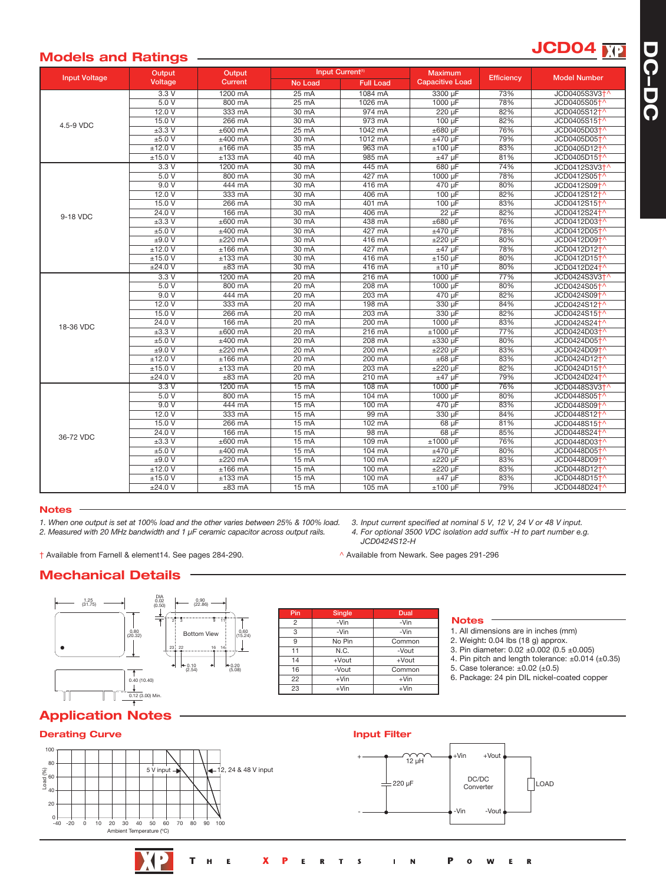# **NP**

**D C - D C**

# **JCD04 Models and Ratings**

|                      | Output              | Output           | Input Current <sup>(1)</sup> |                  | <b>Maximum</b>         |                   |                           |
|----------------------|---------------------|------------------|------------------------------|------------------|------------------------|-------------------|---------------------------|
| <b>Input Voltage</b> | Voltage             | Current          | <b>No Load</b>               | <b>Full Load</b> | <b>Capacitive Load</b> | <b>Efficiency</b> | <b>Model Number</b>       |
|                      | 3.3V                | 1200 mA          | $25 \text{ mA}$              | 1084 mA          | 3300 µF                | 73%               | JCD0405S3V3 <sup>+^</sup> |
|                      | 5.0V                | 800 mA           | $25 \text{ mA}$              | 1026 mA          | 1000 µF                | 78%               | JCD0405S05 <sup>+</sup>   |
|                      | 12.0V               | 333 mA           | $30 \text{ mA}$              | 974 mA           | 220 uF                 | 82%               | JCD0405S12 <sup>+</sup>   |
| 4.5-9 VDC            | 15.0V               | 266 mA           | 30 mA                        | 973 mA           | $100 \text{ uF}$       | 82%               | JCD0405S15 <sup>+</sup>   |
|                      | $\pm 3.3 \text{ V}$ | $±600$ mA        | $25 \text{ mA}$              | 1042 mA          | $±680 \mu F$           | 76%               | JCD0405D03 <sup>+</sup>   |
|                      | ±5.0V               | $±400$ mA        | 30 mA                        | 1012 mA          | $±470$ uF              | 79%               | JCD0405D05 <sup>+</sup>   |
|                      | ±12.0 V             | $±166$ mA        | $35 \text{ mA}$              | 963 mA           | $±100 \mu F$           | 83%               | JCD0405D12 <sup>+</sup>   |
|                      | ±15.0 V             | $±133$ mA        | 40 mA                        | 985 mA           | $±47$ µF               | 81%               | JCD0405D15 <sup>+^</sup>  |
|                      | 3.3V                | 1200 mA          | 30 mA                        | 445 mA           | 680 µF                 | 74%               | JCD0412S3V3+^             |
|                      | 5.0V                | 800 mA           | 30 mA                        | 427 mA           | 1000 µF                | 78%               | JCD0412S05 <sup>+</sup>   |
|                      | 9.0V                | 444 mA           | $30 \text{ mA}$              | 416 mA           | 470 µF                 | 80%               | JCD0412S09 <sup>+</sup>   |
|                      | 12.0V               | 333 mA           | 30 mA                        | 406 mA           | $100 \mu F$            | 82%               | JCD0412S12 <sup>+</sup>   |
|                      | 15.0V               | 266 mA           | $30 \text{ mA}$              | 401 mA           | 100 uF                 | 83%               | JCD0412S15 <sup>+</sup>   |
| 9-18 VDC             | 24.0V               | 166 mA           | 30 mA                        | 406 mA           | $22 \mu F$             | 82%               | JCD0412S24 <sup>+</sup>   |
|                      | $\pm 3.3 \text{ V}$ | $±600$ mA        | $30 \text{ mA}$              | 438 mA           | $±680$ uF              | 76%               | JCD0412D03 <sup>+</sup>   |
|                      | ±5.0V               | $±400$ mA        | $30 \text{ mA}$              | 427 mA           | $±470 \mu F$           | 78%               | JCD0412D05 <sup>+</sup>   |
|                      | ±9.0V               | $±220$ mA        | 30 mA                        | 416 mA           | $±220 \mu F$           | 80%               | JCD0412D09 <sup>+</sup>   |
|                      | ±12.0 V             | $±166$ mA        | $30 \text{ mA}$              | 427 mA           | $±47$ µF               | 78%               | JCD0412D12 <sup>+</sup>   |
|                      | ±15.0 V             | $±133$ mA        | 30 mA                        | 416 mA           | $±150 \mu F$           | 80%               | JCD0412D15 <sup>+</sup>   |
|                      | ±24.0 V             | $±83$ mA         | $30 \text{ mA}$              | 416 mA           | $±10 \mu F$            | 80%               | JCD0412D24 <sup>+</sup>   |
|                      | 3.3V                | 1200 mA          | $20 \text{ mA}$              | $216 \text{ mA}$ | 1000 µF                | 77%               | JCD0424S3V3 <sup>+</sup>  |
|                      | 5.0V                | 800 mA           | 20 mA                        | 208 mA           | 1000 uF                | 80%               | JCD0424S05 <sup>+</sup>   |
|                      | 9.0V                | 444 mA           | $20 \text{ mA}$              | $203 \text{ mA}$ | 470 µF                 | 82%               | JCD0424S09 <sup>+</sup>   |
|                      | 12.0V               | 333 mA           | $20 \text{ mA}$              | 198 mA           | 330 µF                 | 84%               | JCD0424S12 <sup>+</sup>   |
|                      | 15.0V               | 266 mA           | $20 \text{ mA}$              | 203 mA           | 330 µF                 | 82%               | JCD0424S15 <sup>+</sup>   |
| 18-36 VDC            | 24.0V               | 166 mA           | 20 mA                        | 200 mA           | 1000 µF                | 83%               | JCD0424S24 <sup>+</sup>   |
|                      | $\pm 3.3 \text{ V}$ | $±600$ mA        | $20 \text{ mA}$              | $216 \text{ mA}$ | $±1000 \mu F$          | 77%               | JCD0424D03 <sup>+</sup>   |
|                      | ±5.0V               | $±400$ mA        | $20 \text{ mA}$              | 208 mA           | $\pm 330 \mu F$        | 80%               | JCD0424D05 <sup>+</sup>   |
|                      | ±9.0V               | $±220$ mA        | $20 \text{ mA}$              | 200 mA           | $±220 \mu F$           | 83%               | JCD0424D09 <sup>+</sup>   |
|                      | ±12.0V              | $±166$ mA        | $20 \text{ mA}$              | 200 mA           | $±68$ µF               | 83%               | JCD0424D12 <sup>+</sup>   |
|                      | ±15.0 V             | $±133$ mA        | 20 mA                        | 203 mA           | $±220 \mu F$           | 82%               | JCD0424D15 <sup>+</sup>   |
|                      | $\pm 24.0 V$        | $±83$ mA         | $20 \text{ mA}$              | $210 \text{ mA}$ | $±47$ µF               | 79%               | JCD0424D24 <sup>+</sup>   |
| 36-72 VDC            | 3.3V                | 1200 mA          | $15 \text{ mA}$              | 108 mA           | 1000 µF                | 76%               | JCD0448S3V3 <sup>+</sup>  |
|                      | 5.0V                | 800 mA           | $15 \text{ mA}$              | $104 \text{ mA}$ | 1000 µF                | 80%               | JCD0448S05 <sup>+</sup>   |
|                      | 9.0V                | 444 mA           | $15 \text{ mA}$              | $100 \text{ mA}$ | 470 µF                 | 83%               | JCD0448S09 <sup>+</sup>   |
|                      | 12.0V               | 333 mA           | $15 \text{ mA}$              | 99 mA            | 330 µF                 | 84%               | JCD0448S12 <sup>+</sup>   |
|                      | 15.0V               | $266 \text{ mA}$ | $15 \text{ mA}$              | $102 \text{ mA}$ | $68 \mu F$             | 81%               | JCD0448S15 <sup>+</sup>   |
|                      | 24.0V               | $166 \text{ mA}$ | $15 \text{ mA}$              | $98 \text{ mA}$  | $68 \mu F$             | 85%               | JCD0448S24 <sup>+</sup>   |
|                      | $\pm 3.3 \text{ V}$ | $±600$ mA        | $15 \text{ mA}$              | 109 mA           | $±1000 \mu F$          | 76%               | JCD0448D03 <sup>+</sup>   |
|                      | ±5.0V               | $±400$ mA        | 15 mA                        | 104 mA           | ±470 uF                | 80%               | JCD0448D05 <sup>+</sup>   |
|                      | ±9.0V               | $±220$ mA        | $15 \text{ mA}$              | 100 mA           | $±220 \mu F$           | 83%               | JCD0448D09 <sup>+^</sup>  |
|                      | ±12.0V              | $±166$ mA        | $15 \text{ mA}$              | 100 mA           | $±220 \mu F$           | 83%               | JCD0448D12 <sup>+</sup>   |
|                      | ±15.0 V             | $±133$ mA        | $15 \text{ mA}$              | $100 \text{ mA}$ | $±47 \mu F$            | 83%               | JCD0448D15 <sup>+</sup>   |
|                      | ±24.0 V             | $±83$ mA         | 15 mA                        | 105 mA           | $±100 \mu F$           | 79%               | JCD0448D24 <sup>+</sup> ^ |

#### **Notes**

*1. When one output is set at 100% load and the other varies between 25% & 100% load. 2. Measured with 20 MHz bandwidth and 1 µF ceramic capacitor across output rails.*

† Available from Farnell & element14. See pages 284-290. ^ Available from Newark. See pages 291-296

*3. Input current specified at nominal 5 V, 12 V, 24 V or 48 V input. 4. For optional 3500 VDC isolation add suffix -H to part number e.g. JCD0424S12-H*

## **Mechanical Details**



| Pin            | Single   | Dual     |  |  |
|----------------|----------|----------|--|--|
| $\mathfrak{p}$ | -Vin     | -Vin     |  |  |
| 3              | -Vin     | -Vin     |  |  |
| 9              | No Pin   | Common   |  |  |
| 11             | N.C.     | -Vout    |  |  |
| 14             | $+$ Vout | $+$ Vout |  |  |
| 16             | -Vout    | Common   |  |  |
| 22             | $+V$ in  | $+V$ in  |  |  |
| 23             | $+V$ in  | $+V$ in  |  |  |

#### **Notes**

- 1. All dimensions are in inches (mm)
- 2. Weight: 0.04 lbs (18 g) approx.
- 3. Pin diameter: 0.02 ±0.002 (0.5 ±0.005)
- 4. Pin pitch and length tolerance: ±0.014 (±0.35)
- 5. Case tolerance: ±0.02 (±0.5)
- 6. Package: 24 pin DIL nickel-coated copper

 $\overline{\mathbf{R}}$ 

# **Application Notes**

#### **Derating Curve Input Filter** -40 -20 0 10 20 30 40 50 60 70 80 90 100 20 40 60 Load (%) 80 100 Ambient Temperature (ºC) 0 5 V input  $\longrightarrow$   $\downarrow$  12, 24 & 48 V input DC/DC 220 µF Converter | LOAD  $+V$ in  $+V$ out + -  $12 \mu H$ -Vin -Vout

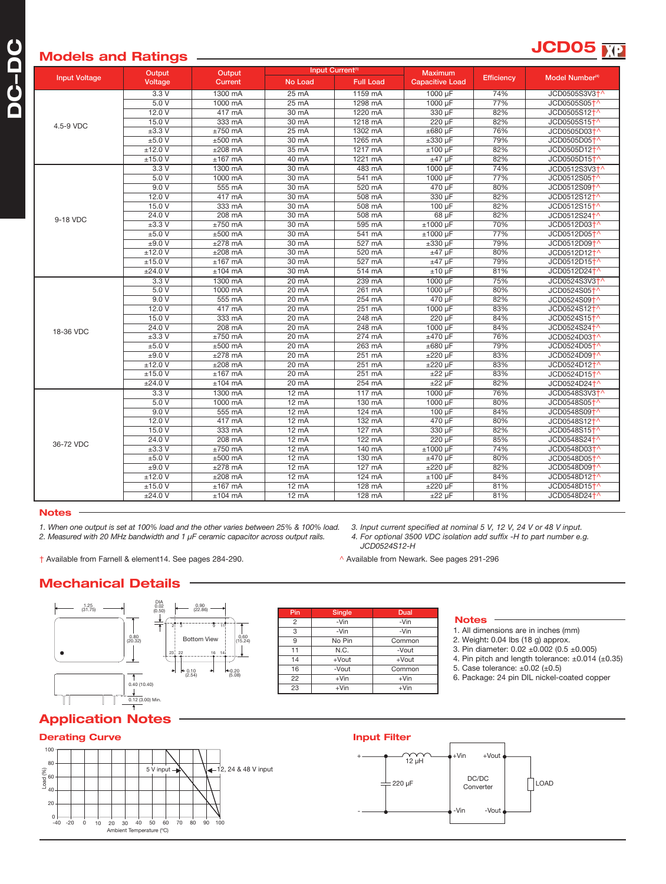# **JCD05 Models and Ratings**

|                      | Output<br>Voltage   | Output<br><b>Current</b> | Input Current <sup>(1)</sup> |                  | <b>Maximum</b>         |                   |                             |
|----------------------|---------------------|--------------------------|------------------------------|------------------|------------------------|-------------------|-----------------------------|
| <b>Input Voltage</b> |                     |                          | No Load                      | <b>Full Load</b> | <b>Capacitive Load</b> | <b>Efficiency</b> | Model Number <sup>(4)</sup> |
|                      | 3.3V                | 1300 mA                  | $25 \text{ mA}$              | 1159 mA          | 1000 µF                | 74%               | JCD0505S3V3+^               |
|                      | 5.0V                | 1000 mA                  | $25 \text{ mA}$              | 1298 mA          | 1000 µF                | 77%               | JCD0505S05 <sup>+</sup> ^   |
|                      | 12.0V               | $417 \text{ mA}$         | $30 \text{ mA}$              | 1220 mA          | 330 µF                 | 82%               | JCD0505S12 <sup>+</sup>     |
| 4.5-9 VDC            | 15.0V               | 333 mA                   | 30 mA                        | 1218 mA          | 220 µF                 | 82%               | JCD0505S15 <sup>+^</sup>    |
|                      | $±3.3$ V            | $±750$ mA                | 25 mA                        | 1302 mA          | $±680 \mu F$           | 76%               | JCD0505D03 <sup>+</sup>     |
|                      | ±5.0 V              | $±500$ mA                | 30 mA                        | 1265 mA          | $\pm 330 \mu F$        | 79%               | JCD0505D05 <sup>+</sup>     |
|                      | ±12.0 V             | $±208$ mA                | $35 \text{ mA}$              | 1217 mA          | $±100 \mu F$           | 82%               | JCD0505D12+^                |
|                      | ±15.0 V             | $±167$ mA                | 40 mA                        | 1221 mA          | $±47$ µF               | 82%               | JCD0505D15 <sup>+</sup>     |
|                      | 3.3V                | 1300 mA                  | 30 mA                        | 483 mA           | 1000 µF                | 74%               | JCD0512S3V3 <sup>+</sup>    |
|                      | 5.0V                | 1000 mA                  | 30 mA                        | 541 mA           | 1000 µF                | 77%               | JCD0512S05 <sup>+</sup>     |
|                      | 9.0V                | 555 mA                   | 30 mA                        | 520 mA           | 470 µF                 | 80%               | JCD0512S09 <sup>+^</sup>    |
|                      | 12.0V               | 417 mA                   | $30 \text{ mA}$              | 508 mA           | 330 uF                 | 82%               | JCD0512S12 <sup>+</sup>     |
|                      | 15.0V               | 333 mA                   | 30 mA                        | 508 mA           | $100 \mu F$            | 82%               | JCD0512S15 <sup>+</sup>     |
| 9-18 VDC             | 24.0 V              | 208 mA                   | 30 mA                        | 508 mA           | 68 µF                  | 82%               | JCD0512S24 <sup>+^</sup>    |
|                      | $±3.3$ V            | $±750$ mA                | 30 mA                        | 595 mA           | $±1000$ µF             | 70%               | JCD0512D03 <sup>+</sup>     |
|                      | ±5.0 V              | $±500$ mA                | 30 mA                        | 541 mA           | $±1000 \mu F$          | 77%               | JCD0512D05 <sup>+</sup>     |
|                      | ±9.0 V              | $±278$ mA                | 30 mA                        | $527 \text{ mA}$ | $±330 \mu F$           | 79%               | JCD0512D09 <sup>+</sup>     |
|                      | ±12.0V              | $±208$ mA                | $30 \text{ mA}$              | 520 mA           | $±47 \mu F$            | 80%               | JCD0512D12 <sup>+</sup>     |
|                      | ±15.0 V             | $±167$ mA                | 30 mA                        | 527 mA           | $±47$ µF               | 79%               | JCD0512D15 <sup>+</sup>     |
|                      | ±24.0 V             | $±104$ mA                | 30 mA                        | 514 mA           | $±10~\mu F$            | 81%               | JCD0512D24 <sup>+</sup>     |
|                      | 3.3V                | 1300 mA                  | 20 mA                        | 239 mA           | 1000 µF                | 75%               | JCD0524S3V3+^               |
|                      | 5.0V                | 1000 mA                  | $20 \text{ mA}$              | $261 \text{ mA}$ | 1000 uF                | 80%               | JCD0524S05 <sup>+^</sup>    |
|                      | 9.0V                | 555 mA                   | $20 \text{ mA}$              | 254 mA           | 470 µF                 | 82%               | JCD0524S09 <sup>+</sup>     |
|                      | 12.0V               | 417 mA                   | $20 \text{ mA}$              | $251 \text{ mA}$ | 1000 µF                | 83%               | JCD0524S12 <sup>+</sup>     |
|                      | 15.0V               | 333 mA                   | $20 \text{ mA}$              | 248 mA           | 220 µF                 | 84%               | JCD0524S15 <sup>+</sup>     |
| 18-36 VDC            | 24.0V               | 208 mA                   | $20 \text{ mA}$              | 248 mA           | 1000 µF                | 84%               | JCD0524S24 <sup>+^</sup>    |
|                      | $±3.3$ V            | $±750$ mA                | 20 mA                        | 274 mA           | $±470 \mu F$           | 76%               | JCD0524D03 <sup>+</sup>     |
|                      | ±5.0 V              | $±500$ mA                | $20 \text{ mA}$              | 263 mA           | $\pm 680$ µF           | 79%               | JCD0524D05 <sup>+</sup>     |
|                      | ±9.0 V              | $±278$ mA                | $20 \text{ mA}$              | $251 \text{ mA}$ | $±220 \mu F$           | 83%               | JCD0524D09 <sup>+</sup>     |
|                      | ±12.0 V             | $±208$ mA                | $20 \text{ mA}$              | $251 \text{ mA}$ | $±220 \mu F$           | 83%               | JCD0524D12 <sup>+</sup>     |
|                      | ±15.0 V             | $±167$ mA                | $20 \text{ mA}$              | $251 \text{ mA}$ | $±22 \mu F$            | 83%               | JCD0524D15 <sup>+</sup>     |
|                      | ±24.0 V             | $±104$ mA                | 20 mA                        | 254 mA           | $±22 \mu F$            | 82%               | JCD0524D24 <sup>+</sup>     |
| 36-72 VDC            | 3.3V                | 1300 mA                  | $12 \text{ mA}$              | $117 \text{ mA}$ | 1000 µF                | 76%               | JCD0548S3V3 <sup>+</sup>    |
|                      | 5.0V                | 1000 mA                  | $12 \text{ mA}$              | 130 mA           | $1000 \mu F$           | 80%               | JCD0548S05 <sup>+</sup>     |
|                      | 9.0V                | 555 mA                   | 12 mA                        | $124 \text{ mA}$ | 100 µF                 | 84%               | JCD0548S09 <sup>+</sup> ^   |
|                      | 12.0 V              | 417 mA                   | 12 mA                        | $132 \text{ mA}$ | 470 µF                 | 80%               | JCD0548S12 <sup>+</sup>     |
|                      | 15.0 V              | 333 mA                   | 12 mA                        | 127 mA           | 330 µF                 | 82%               | JCD0548S15 <sup>+</sup>     |
|                      | 24.0 V              | $208 \text{ mA}$         | $12 \text{ mA}$              | 122 mA           | $220 \mu F$            | 85%               | JCD0548S24 <sup>+</sup>     |
|                      | $\pm 3.3 \text{ V}$ | $±750$ mA                | $12 \text{ mA}$              | 140 mA           | $±1000 \mu F$          | 74%               | JCD0548D03 <sup>+^</sup>    |
|                      | ±5.0V               | $±500$ mA                | $12 \text{ mA}$              | 130 mA           | $±470 \mu F$           | 80%               | JCD0548D05 <sup>+</sup>     |
|                      | ±9.0 V              | $±278$ mA                | 12 mA                        | $127 \text{ mA}$ | $±220 \mu F$           | 82%               | JCD0548D09 <sup>+^</sup>    |
|                      | ±12.0 V             | $±208$ mA                | 12 mA                        | 124 mA           | $±100 \mu F$           | 84%               | JCD0548D12 <sup>+</sup>     |
|                      | ±15.0 V             | $±167$ mA                | 12 mA                        | 128 mA           | $±220 \mu F$           | 81%               | JCD0548D15 <sup>+</sup>     |
|                      | ±24.0 V             | $±104$ mA                | $12 \text{ mA}$              | 128 mA           | $±22~\mu F$            | 81%               | JCD0548D24 <sup>+^</sup>    |

#### **Notes**

*1. When one output is set at 100% load and the other varies between 25% & 100% load. 2. Measured with 20 MHz bandwidth and 1 µF ceramic capacitor across output rails.*

† Available from Farnell & element14. See pages 284-290. ^ Available from Newark. See pages 291-296

*3. Input current specified at nominal 5 V, 12 V, 24 V or 48 V input. 4. For optional 3500 VDC isolation add suffix -H to part number e.g. JCD0524S12-H*

## **Mechanical Details**



| Pin | Single               | Dual    |  |  |
|-----|----------------------|---------|--|--|
| 2   | -Vin                 | -Vin    |  |  |
| 3   | -Vin                 | -Vin    |  |  |
| 9   | No Pin<br>Common     |         |  |  |
| 11  | N.C.<br>-Vout        |         |  |  |
| 14  | $+$ Vout<br>$+$ Vout |         |  |  |
| 16  | -Vout                | Common  |  |  |
| 22  | $+V$ in              | $+V$ in |  |  |
| 23  | $+V$ in<br>$+V$ in   |         |  |  |

#### **Notes**

- 1. All dimensions are in inches (mm)
- 2. Weight: 0.04 lbs (18 g) approx.
- 3. Pin diameter:  $0.02 \pm 0.002$  (0.5  $\pm 0.005$ )
- 4. Pin pitch and length tolerance:  $\pm 0.014$  ( $\pm 0.35$ )
- 5. Case tolerance:  $\pm 0.02$  ( $\pm 0.5$ )
- 6. Package: 24 pin DIL nickel-coated copper

## **Application Notes**

#### **Derating Curve**